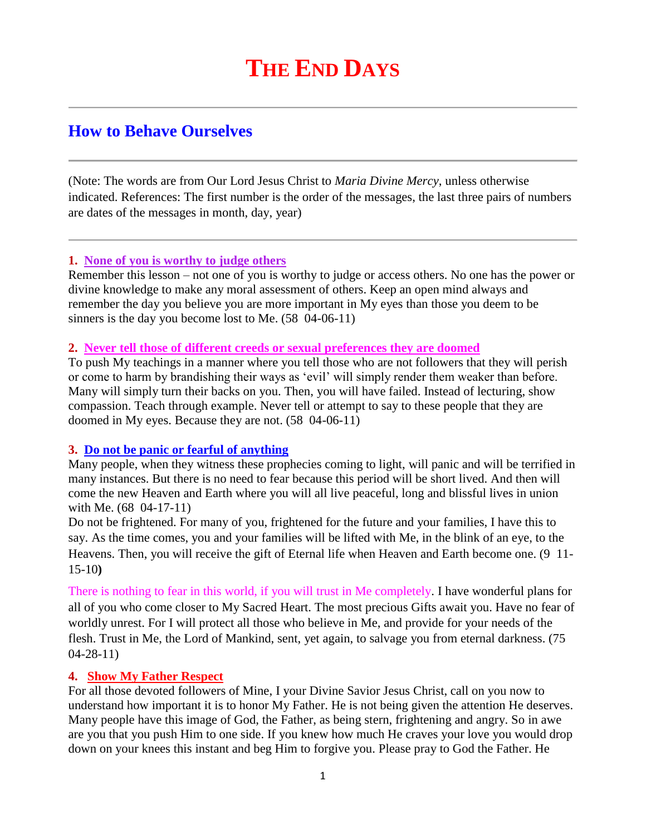# **THE END DAYS**

# **How to Behave Ourselves**

(Note: The words are from Our Lord Jesus Christ to *Maria Divine Mercy*, unless otherwise indicated. References: The first number is the order of the messages, the last three pairs of numbers are dates of the messages in month, day, year)

#### **1. None of you is worthy to judge others**

Remember this lesson – not one of you is worthy to judge or access others. No one has the power or divine knowledge to make any moral assessment of others. Keep an open mind always and remember the day you believe you are more important in My eyes than those you deem to be sinners is the day you become lost to Me. (58 04-06-11)

#### **2. Never tell those of different creeds or sexual preferences they are doomed**

To push My teachings in a manner where you tell those who are not followers that they will perish or come to harm by brandishing their ways as 'evil' will simply render them weaker than before. Many will simply turn their backs on you. Then, you will have failed. Instead of lecturing, show compassion. Teach through example. Never tell or attempt to say to these people that they are doomed in My eyes. Because they are not. (58 04-06-11)

# **3. Do not be panic or fearful of anything**

Many people, when they witness these prophecies coming to light, will panic and will be terrified in many instances. But there is no need to fear because this period will be short lived. And then will come the new Heaven and Earth where you will all live peaceful, long and blissful lives in union with Me. (68 04-17-11)

Do not be frightened. For many of you, frightened for the future and your families, I have this to say. As the time comes, you and your families will be lifted with Me, in the blink of an eye, to the Heavens. Then, you will receive the gift of Eternal life when Heaven and Earth become one. (9 11- 15-10**)**

There is nothing to fear in this world, if you will trust in Me completely. I have wonderful plans for all of you who come closer to My Sacred Heart. The most precious Gifts await you. Have no fear of worldly unrest. For I will protect all those who believe in Me, and provide for your needs of the flesh. Trust in Me, the Lord of Mankind, sent, yet again, to salvage you from eternal darkness. (75 04-28-11)

# **4. Show My Father Respect**

For all those devoted followers of Mine, I your Divine Savior Jesus Christ, call on you now to understand how important it is to honor My Father. He is not being given the attention He deserves. Many people have this image of God, the Father, as being stern, frightening and angry. So in awe are you that you push Him to one side. If you knew how much He craves your love you would drop down on your knees this instant and beg Him to forgive you. Please pray to God the Father. He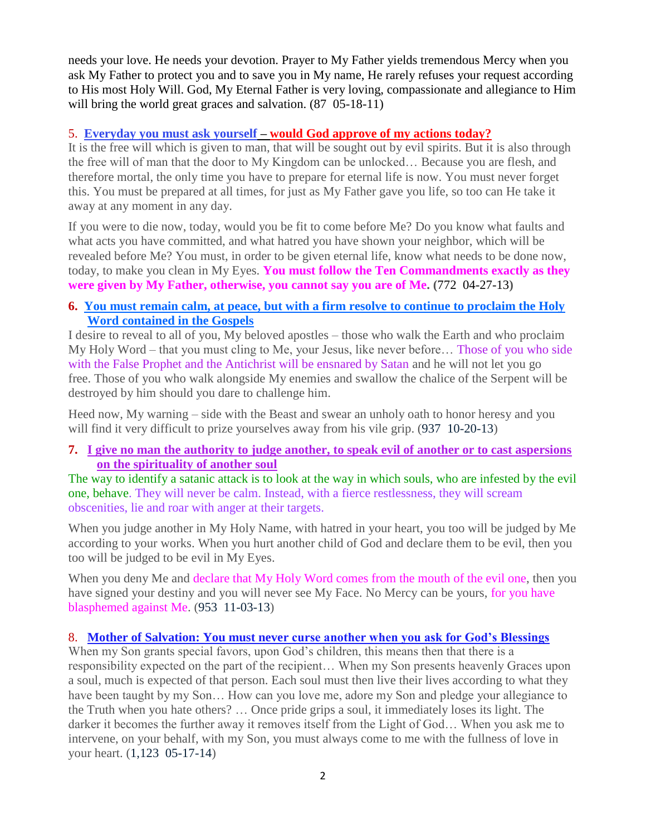needs your love. He needs your devotion. Prayer to My Father yields tremendous Mercy when you ask My Father to protect you and to save you in My name, He rarely refuses your request according to His most Holy Will. God, My Eternal Father is very loving, compassionate and allegiance to Him will bring the world great graces and salvation. (87 05-18-11)

#### 5. **Everyday you must ask yourself – [would God approve of my actions today?](http://www.thewarningsecondcoming.com/every-day-you-must-ask-yourself-would-god-approve-of-my-actions-today/)**

It is the free will which is given to man, that will be sought out by evil spirits. But it is also through the free will of man that the door to My Kingdom can be unlocked… Because you are flesh, and therefore mortal, the only time you have to prepare for eternal life is now. You must never forget this. You must be prepared at all times, for just as My Father gave you life, so too can He take it away at any moment in any day.

If you were to die now, today, would you be fit to come before Me? Do you know what faults and what acts you have committed, and what hatred you have shown your neighbor, which will be revealed before Me? You must, in order to be given eternal life, know what needs to be done now, today, to make you clean in My Eyes. **You must follow the Ten Commandments exactly as they were given by My Father, otherwise, you cannot say you are of Me. (**772 04-27-13**)**

# **6. [You must remain calm, at peace, but with a firm resolve to continue to proclaim the Holy](http://www.thewarningsecondcoming.com/you-must-remain-calm-at-peace-but-with-a-firm-resolve-to-continue-to-proclaim-the-holy-word-contained-in-the-gospels/)  [Word contained in the Gospels](http://www.thewarningsecondcoming.com/you-must-remain-calm-at-peace-but-with-a-firm-resolve-to-continue-to-proclaim-the-holy-word-contained-in-the-gospels/)**

I desire to reveal to all of you, My beloved apostles – those who walk the Earth and who proclaim My Holy Word – that you must cling to Me, your Jesus, like never before… Those of you who side with the False Prophet and the Antichrist will be ensnared by Satan and he will not let you go free. Those of you who walk alongside My enemies and swallow the chalice of the Serpent will be destroyed by him should you dare to challenge him.

Heed now, My warning – side with the Beast and swear an unholy oath to honor heresy and you will find it very difficult to prize yourselves away from his vile grip. (937 10-20-13)

#### **7. [I give no man the authority to judge another, to speak evil of another or to cast aspersions](http://www.thewarningsecondcoming.com/i-give-no-man-the-authority-to-judge-another-to-speak-evil-of-another-or-to-cast-aspersions-on-the-spirituality-of-another-soul/)  [on the spirituality of another soul](http://www.thewarningsecondcoming.com/i-give-no-man-the-authority-to-judge-another-to-speak-evil-of-another-or-to-cast-aspersions-on-the-spirituality-of-another-soul/)**

The way to identify a satanic attack is to look at the way in which souls, who are infested by the evil one, behave. They will never be calm. Instead, with a fierce restlessness, they will scream obscenities, lie and roar with anger at their targets.

When you judge another in My Holy Name, with hatred in your heart, you too will be judged by Me according to your works. When you hurt another child of God and declare them to be evil, then you too will be judged to be evil in My Eyes.

When you deny Me and declare that My Holy Word comes from the mouth of the evil one, then you have signed your destiny and you will never see My Face. No Mercy can be yours, for you have blasphemed against Me. (953 11-03-13)

#### 8. **[Mother of Salvation: You must never curse another when you ask for God's Blessings](http://www.thewarningsecondcoming.com/mother-of-salvation-you-must-never-curse-another-when-you-ask-for-gods-blessings/)**

When my Son grants special favors, upon God's children, this means then that there is a responsibility expected on the part of the recipient… When my Son presents heavenly Graces upon a soul, much is expected of that person. Each soul must then live their lives according to what they have been taught by my Son... How can you love me, adore my Son and pledge your allegiance to the Truth when you hate others? … Once pride grips a soul, it immediately loses its light. The darker it becomes the further away it removes itself from the Light of God… When you ask me to intervene, on your behalf, with my Son, you must always come to me with the fullness of love in your heart. (1,123 05-17-14)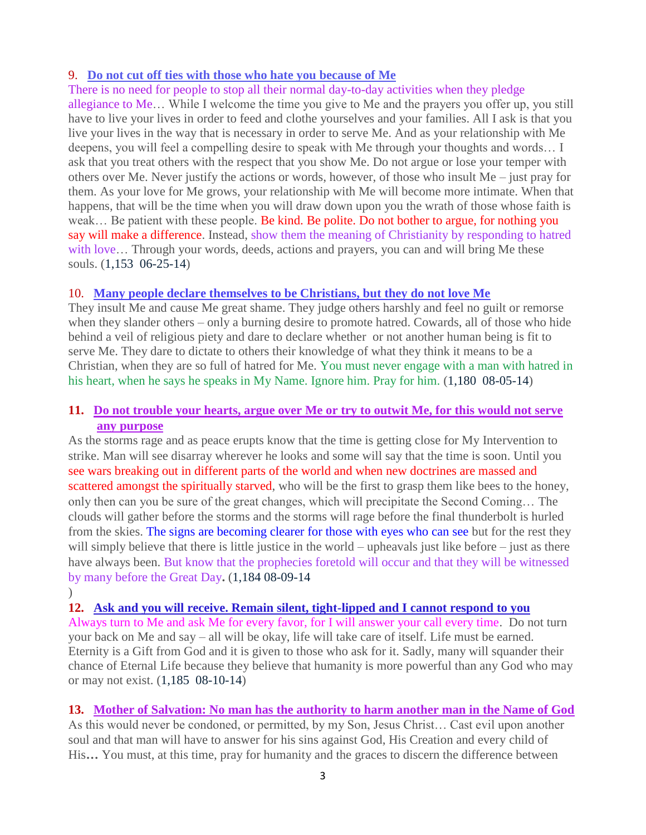# 9. **[Do not cut off ties with those who hate you because of Me](http://www.thewarningsecondcoming.com/do-not-cut-off-ties-with-those-who-hate-you-because-of-me/)**

There is no need for people to stop all their normal day-to-day activities when they pledge

allegiance to Me… While I welcome the time you give to Me and the prayers you offer up, you still have to live your lives in order to feed and clothe yourselves and your families. All I ask is that you live your lives in the way that is necessary in order to serve Me. And as your relationship with Me deepens, you will feel a compelling desire to speak with Me through your thoughts and words… I ask that you treat others with the respect that you show Me. Do not argue or lose your temper with others over Me. Never justify the actions or words, however, of those who insult Me – just pray for them. As your love for Me grows, your relationship with Me will become more intimate. When that happens, that will be the time when you will draw down upon you the wrath of those whose faith is weak... Be patient with these people. Be kind. Be polite. Do not bother to argue, for nothing you say will make a difference. Instead, show them the meaning of Christianity by responding to hatred with love... Through your words, deeds, actions and prayers, you can and will bring Me these souls. (1,153 06-25-14)

#### 10. **[Many people declare themselves to be Christians, but they do not love Me](http://www.thewarningsecondcoming.com/many-people-declare-themselves-to-be-christians-but-they-do-not-love-me/)**

They insult Me and cause Me great shame. They judge others harshly and feel no guilt or remorse when they slander others – only a burning desire to promote hatred. Cowards, all of those who hide behind a veil of religious piety and dare to declare whether or not another human being is fit to serve Me. They dare to dictate to others their knowledge of what they think it means to be a Christian, when they are so full of hatred for Me. You must never engage with a man with hatred in his heart, when he says he speaks in My Name. Ignore him. Pray for him.  $(1,180 \ 08-05-14)$ 

# **11. [Do not trouble your hearts, argue over Me or try to outwit Me, for this would not serve](http://www.thewarningsecondcoming.com/do-not-trouble-your-hearts-argue-over-me-or-try-to-outwit-me-for-this-would-not-serve-any-purpose/)  [any purpose](http://www.thewarningsecondcoming.com/do-not-trouble-your-hearts-argue-over-me-or-try-to-outwit-me-for-this-would-not-serve-any-purpose/)**

As the storms rage and as peace erupts know that the time is getting close for My Intervention to strike. Man will see disarray wherever he looks and some will say that the time is soon. Until you see wars breaking out in different parts of the world and when new doctrines are massed and scattered amongst the spiritually starved, who will be the first to grasp them like bees to the honey, only then can you be sure of the great changes, which will precipitate the Second Coming… The clouds will gather before the storms and the storms will rage before the final thunderbolt is hurled from the skies. The signs are becoming clearer for those with eyes who can see but for the rest they will simply believe that there is little justice in the world – upheavals just like before – just as there have always been. But know that the prophecies foretold will occur and that they will be witnessed by many before the Great Day**.** (1,184 08-09-14

 $\overline{)}$ 

**12. [Ask and you will receive. Remain silent, tight-lipped and I cannot respond to you](http://www.thewarningsecondcoming.com/ask-and-you-will-receive-remain-silent-tight-lipped-and-i-cannot-respond-to-you/)** Always turn to Me and ask Me for every favor, for I will answer your call every time. Do not turn your back on Me and say – all will be okay, life will take care of itself. Life must be earned. Eternity is a Gift from God and it is given to those who ask for it. Sadly, many will squander their chance of Eternal Life because they believe that humanity is more powerful than any God who may or may not exist. (1,185 08-10-14)

# **13. [Mother of Salvation: No man has the authority to harm another man in the Name of God](http://www.thewarningsecondcoming.com/mother-of-salvation-no-man-has-the-authority-to-harm-another-man-in-the-name-of-god/)**

As this would never be condoned, or permitted, by my Son, Jesus Christ… Cast evil upon another soul and that man will have to answer for his sins against God, His Creation and every child of His**…** You must, at this time, pray for humanity and the graces to discern the difference between